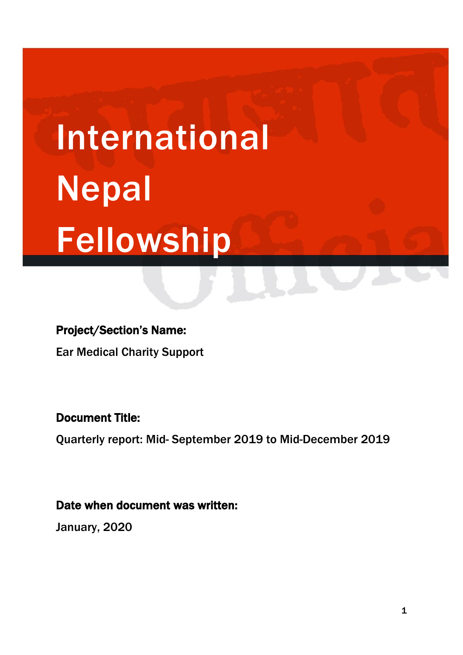# International Nepal Fellowship

# Project/Section's Name:

Ear Medical Charity Support

# Document Title:

Quarterly report: Mid- September 2019 to Mid-December 2019

# Date when document was written:

January, 2020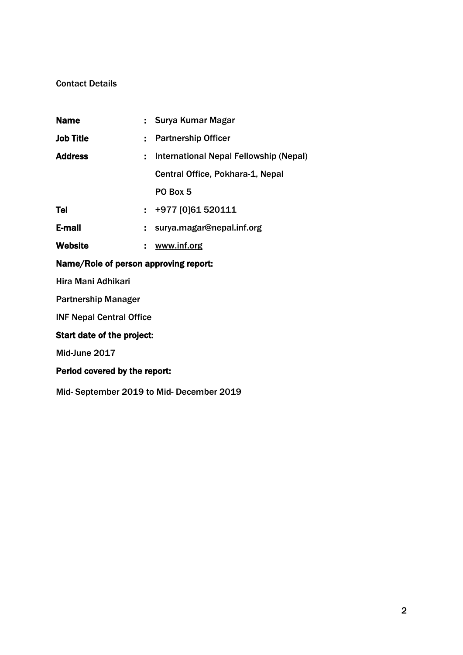#### Contact Details

| <b>Name</b>                           |    | : Surya Kumar Magar                    |
|---------------------------------------|----|----------------------------------------|
| <b>Job Title</b>                      |    | : Partnership Officer                  |
| <b>Address</b>                        | ÷. | International Nepal Fellowship (Nepal) |
|                                       |    | Central Office, Pokhara-1, Nepal       |
|                                       |    | PO Box 5                               |
| Tel                                   |    | $\div$ +977 [0]61 520111               |
| E-mail                                |    | $:$ surya.magar@nepal.inf.org          |
| <b>Website</b>                        |    | www.inf.org                            |
| Name/Role of person approving report: |    |                                        |
| Hira Mani Adhikari                    |    |                                        |
| <b>Partnership Manager</b>            |    |                                        |

INF Nepal Central Office

## Start date of the project:

Mid-June 2017

## Period covered by the report:

Mid- September 2019 to Mid- December 2019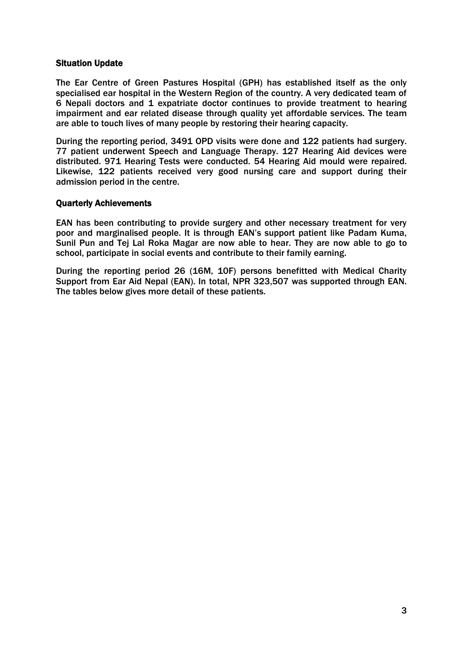#### Situation Update

The Ear Centre of Green Pastures Hospital (GPH) has established itself as the only specialised ear hospital in the Western Region of the country. A very dedicated team of 6 Nepali doctors and 1 expatriate doctor continues to provide treatment to hearing impairment and ear related disease through quality yet affordable services. The team are able to touch lives of many people by restoring their hearing capacity.

During the reporting period, 3491 OPD visits were done and 122 patients had surgery. 77 patient underwent Speech and Language Therapy. 127 Hearing Aid devices were distributed. 971 Hearing Tests were conducted. 54 Hearing Aid mould were repaired. Likewise, 122 patients received very good nursing care and support during their admission period in the centre.

#### Quarterly Achievements

EAN has been contributing to provide surgery and other necessary treatment for very poor and marginalised people. It is through EAN's support patient like Padam Kuma, Sunil Pun and Tej Lal Roka Magar are now able to hear. They are now able to go to school, participate in social events and contribute to their family earning.

During the reporting period 26 (16M, 10F) persons benefitted with Medical Charity Support from Ear Aid Nepal (EAN). In total, NPR 323,507 was supported through EAN. The tables below gives more detail of these patients.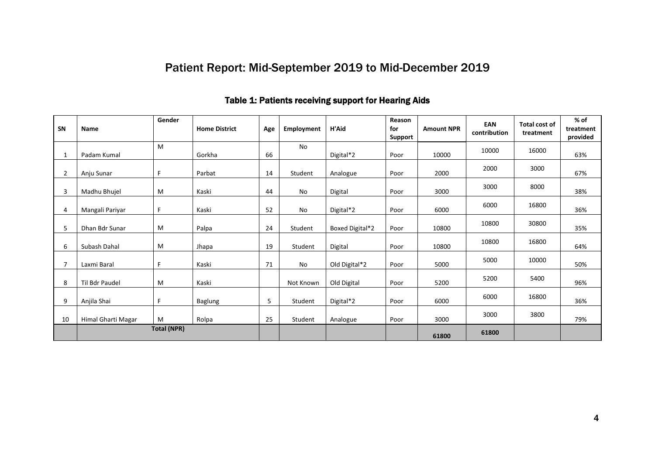# Patient Report: Mid-September 2019 to Mid-December 2019

| SN | <b>Name</b>        | Gender | <b>Home District</b> | Age | Employment | H'Aid           | Reason<br>for<br>Support | <b>Amount NPR</b> | EAN<br>contribution | <b>Total cost of</b><br>treatment | % of<br>treatment<br>provided |
|----|--------------------|--------|----------------------|-----|------------|-----------------|--------------------------|-------------------|---------------------|-----------------------------------|-------------------------------|
|    | Padam Kumal        | M      | Gorkha               | 66  | No         | Digital*2       | Poor                     | 10000             | 10000               | 16000                             | 63%                           |
| 2  | Anju Sunar         | F      | Parbat               | 14  | Student    | Analogue        | Poor                     | 2000              | 2000                | 3000                              | 67%                           |
| 3  | Madhu Bhujel       | M      | Kaski                | 44  | No         | Digital         | Poor                     | 3000              | 3000                | 8000                              | 38%                           |
| 4  | Mangali Pariyar    | F      | Kaski                | 52  | No         | Digital*2       | Poor                     | 6000              | 6000                | 16800                             | 36%                           |
| 5  | Dhan Bdr Sunar     | M      | Palpa                | 24  | Student    | Boxed Digital*2 | Poor                     | 10800             | 10800               | 30800                             | 35%                           |
| 6  | Subash Dahal       | M      | Jhapa                | 19  | Student    | Digital         | Poor                     | 10800             | 10800               | 16800                             | 64%                           |
| 7  | Laxmi Baral        | F.     | Kaski                | 71  | No         | Old Digital*2   | Poor                     | 5000              | 5000                | 10000                             | 50%                           |
| 8  | Til Bdr Paudel     | M      | Kaski                |     | Not Known  | Old Digital     | Poor                     | 5200              | 5200                | 5400                              | 96%                           |
| 9  | Anjila Shai        | F.     | <b>Baglung</b>       | 5   | Student    | Digital*2       | Poor                     | 6000              | 6000                | 16800                             | 36%                           |
| 10 | Himal Gharti Magar | M      | Rolpa                | 25  | Student    | Analogue        | Poor                     | 3000              | 3000                | 3800                              | 79%                           |
|    | <b>Total (NPR)</b> |        |                      |     |            |                 |                          | 61800             | 61800               |                                   |                               |

## Table 1: Patients receiving support for Hearing Aids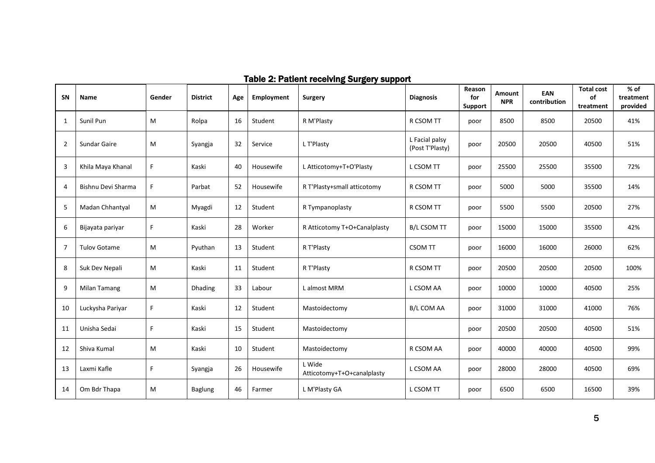| SN             | Name                | Gender | <b>District</b> | Age | Employment | <u>---o--, ---r-</u><br><b>Surgery</b> | <b>Diagnosis</b>                  | Reason<br>for  | Amount<br><b>NPR</b> | EAN<br>contribution | <b>Total cost</b><br>of | $%$ of<br>treatment |
|----------------|---------------------|--------|-----------------|-----|------------|----------------------------------------|-----------------------------------|----------------|----------------------|---------------------|-------------------------|---------------------|
|                |                     |        |                 |     |            |                                        |                                   | <b>Support</b> |                      |                     | treatment               | provided            |
| 1              | Sunil Pun           | M      | Rolpa           | 16  | Student    | R M'Plasty                             | R CSOM TT                         | poor           | 8500                 | 8500                | 20500                   | 41%                 |
| $\overline{2}$ | Sundar Gaire        | M      | Syangja         | 32  | Service    | L T'Plasty                             | L Facial palsy<br>(Post T'Plasty) | poor           | 20500                | 20500               | 40500                   | 51%                 |
| 3              | Khila Maya Khanal   | F.     | Kaski           | 40  | Housewife  | L Atticotomy+T+O'Plasty                | L CSOM TT                         | poor           | 25500                | 25500               | 35500                   | 72%                 |
| 4              | Bishnu Devi Sharma  | F      | Parbat          | 52  | Housewife  | R T'Plasty+small atticotomy            | R CSOM TT                         | poor           | 5000                 | 5000                | 35500                   | 14%                 |
| 5              | Madan Chhantyal     | M      | Myagdi          | 12  | Student    | R Tympanoplasty                        | R CSOM TT                         | poor           | 5500                 | 5500                | 20500                   | 27%                 |
| 6              | Bijayata pariyar    | F.     | Kaski           | 28  | Worker     | R Atticotomy T+O+Canalplasty           | <b>B/L CSOM TT</b>                | poor           | 15000                | 15000               | 35500                   | 42%                 |
| 7              | <b>Tulov Gotame</b> | M      | Pyuthan         | 13  | Student    | R T'Plasty                             | CSOM TT                           | poor           | 16000                | 16000               | 26000                   | 62%                 |
| 8              | Suk Dev Nepali      | M      | Kaski           | 11  | Student    | R T'Plasty                             | R CSOM TT                         | poor           | 20500                | 20500               | 20500                   | 100%                |
| 9              | Milan Tamang        | M      | <b>Dhading</b>  | 33  | Labour     | L almost MRM                           | L CSOM AA                         | poor           | 10000                | 10000               | 40500                   | 25%                 |
| 10             | Luckysha Pariyar    | F.     | Kaski           | 12  | Student    | Mastoidectomy                          | <b>B/L COM AA</b>                 | poor           | 31000                | 31000               | 41000                   | 76%                 |
| 11             | Unisha Sedai        | F.     | Kaski           | 15  | Student    | Mastoidectomy                          |                                   | poor           | 20500                | 20500               | 40500                   | 51%                 |
| 12             | Shiva Kumal         | M      | Kaski           | 10  | Student    | Mastoidectomy                          | R CSOM AA                         | poor           | 40000                | 40000               | 40500                   | 99%                 |
| 13             | Laxmi Kafle         | F.     | Syangja         | 26  | Housewife  | L Wide<br>Atticotomy+T+O+canalplasty   | L CSOM AA                         | poor           | 28000                | 28000               | 40500                   | 69%                 |
| 14             | Om Bdr Thapa        | M      | <b>Baglung</b>  | 46  | Farmer     | L M'Plasty GA                          | L CSOM TT                         | poor           | 6500                 | 6500                | 16500                   | 39%                 |

## Table 2: Patient receiving Surgery support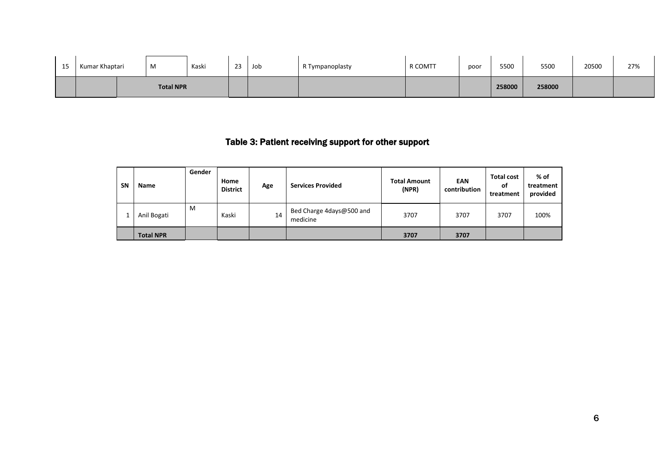| 15 | Kumar Khaptari | M                | Kaski | 23 | Job | R Tympanoplasty | R COMTT | poor | 5500   | 5500   | 20500 | 27% |
|----|----------------|------------------|-------|----|-----|-----------------|---------|------|--------|--------|-------|-----|
|    |                | <b>Total NPR</b> |       |    |     |                 |         |      | 258000 | 258000 |       |     |

## Table 3: Patient receiving support for other support

| <b>SN</b> | <b>Name</b>      | Gender | Home<br><b>District</b> | Age | <b>Services Provided</b>             | <b>Total Amount</b><br>(NPR) | EAN<br>contribution | <b>Total cost</b><br>οf<br>treatment | % of<br>treatment<br>provided |
|-----------|------------------|--------|-------------------------|-----|--------------------------------------|------------------------------|---------------------|--------------------------------------|-------------------------------|
|           | Anil Bogati      | M      | Kaski                   | 14  | Bed Charge 4days@500 and<br>medicine | 3707                         | 3707                | 3707                                 | 100%                          |
|           | <b>Total NPR</b> |        |                         |     |                                      | 3707                         | 3707                |                                      |                               |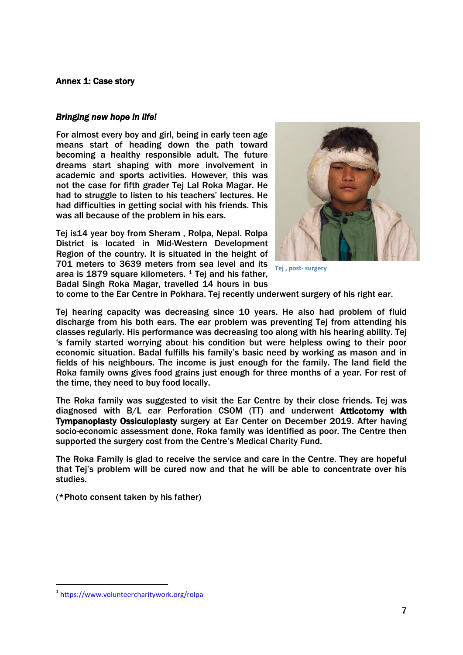#### Annex 1: Case story

#### *Bringing new hope in life!*

For almost every boy and girl, being in early teen age means start of heading down the path toward becoming a healthy responsible adult. The future dreams start shaping with more involvement in academic and sports activities. However, this was not the case for fifth grader Tej Lal Roka Magar. He had to struggle to listen to his teachers' lectures. He had difficulties in getting social with his friends. This was all because of the problem in his ears.

Tej is14 year boy from Sheram , Rolpa, Nepal. Rolpa District is located in Mid-Western Development Region of the country. It is situated in the height of 701 meters to 3639 meters from sea level and its area is  $1879$  square kilometers. <sup>1</sup> Tej and his father, Badal Singh Roka Magar, travelled 14 hours in bus



**Tej , post- surgery** 

to come to the Ear Centre in Pokhara. Tej recently underwent surgery of his right ear.

Tej hearing capacity was decreasing since 10 years. He also had problem of fluid discharge from his both ears. The ear problem was preventing Tej from attending his classes regularly. His performance was decreasing too along with his hearing ability. Tej 's family started worrying about his condition but were helpless owing to their poor economic situation. Badal fulfills his family's basic need by working as mason and in fields of his neighbours. The income is just enough for the family. The land field the Roka family owns gives food grains just enough for three months of a year. For rest of the time, they need to buy food locally.

The Roka family was suggested to visit the Ear Centre by their close friends. Tej was diagnosed with B/L ear Perforation CSOM (TT) and underwent Atticotomy with Tympanoplasty Ossiculoplasty surgery at Ear Center on December 2019. After having socio-economic assessment done, Roka family was identified as poor. The Centre then supported the surgery cost from the Centre's Medical Charity Fund.

The Roka Family is glad to receive the service and care in the Centre. They are hopeful that Tej's problem will be cured now and that he will be able to concentrate over his studies.

(\*Photo consent taken by his father)

1

<sup>1</sup> <https://www.volunteercharitywork.org/rolpa>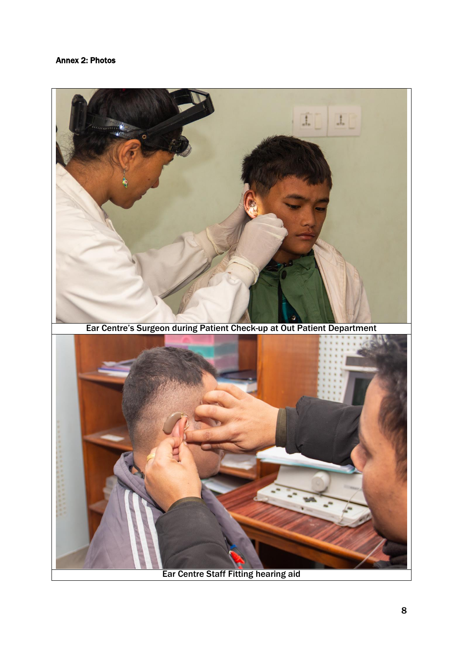#### Annex 2: Photos



Ear Centre Staff Fitting hearing aid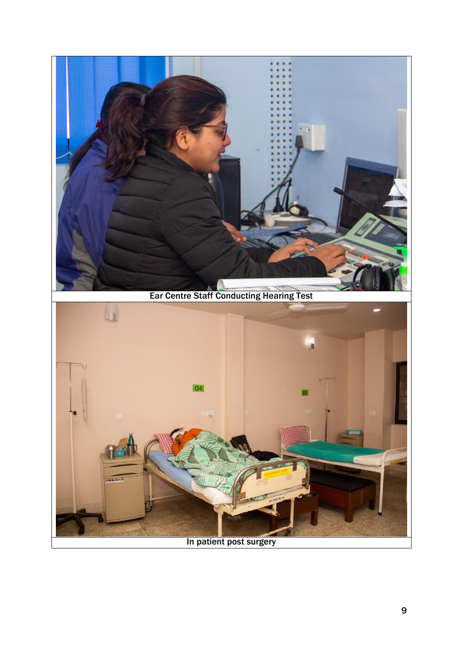



In patient post surgery